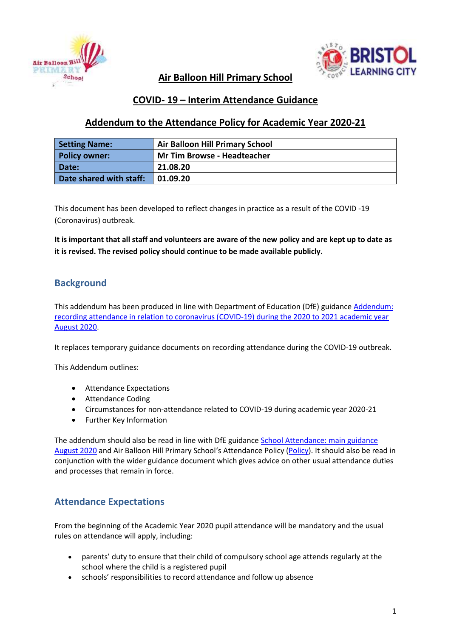



## **Air Balloon Hill Primary School**

## **COVID- 19 – Interim Attendance Guidance**

## **Addendum to the Attendance Policy for Academic Year 2020-21**

| <b>Setting Name:</b>    | <b>Air Balloon Hill Primary School</b> |
|-------------------------|----------------------------------------|
| <b>Policy owner:</b>    | <b>Mr Tim Browse - Headteacher</b>     |
| Date:                   | 21.08.20                               |
| Date shared with staff: | 01.09.20                               |

This document has been developed to reflect changes in practice as a result of the COVID -19 (Coronavirus) outbreak.

**It is important that all staff and volunteers are aware of the new policy and are kept up to date as it is revised. The revised policy should continue to be made available publicly.**

## **Background**

This addendum has been produced in line with Department of Education (DfE) guidance [Addendum:](https://www.gov.uk/government/publications/school-attendance/addendum-recording-attendance-in-relation-to-coronavirus-covid-19-during-the-2020-to-2021-academic-year)  [recording attendance in relation to coronavirus \(COVID-19\) during the 2020 to 2021 academic year](https://www.gov.uk/government/publications/school-attendance/addendum-recording-attendance-in-relation-to-coronavirus-covid-19-during-the-2020-to-2021-academic-year)  [August 2020.](https://www.gov.uk/government/publications/school-attendance/addendum-recording-attendance-in-relation-to-coronavirus-covid-19-during-the-2020-to-2021-academic-year)

It replaces temporary guidance documents on recording attendance during the COVID-19 outbreak.

This Addendum outlines:

- Attendance Expectations
- Attendance Coding
- Circumstances for non-attendance related to COVID-19 during academic year 2020-21
- Further Key Information

The addendum should also be read in line with DfE guidance [School Attendance: main guidance](https://assets.publishing.service.gov.uk/government/uploads/system/uploads/attachment_data/file/907535/School_attendance_guidance_for_2020_to_2021_academic_year.pdf)  [August 2020](https://assets.publishing.service.gov.uk/government/uploads/system/uploads/attachment_data/file/907535/School_attendance_guidance_for_2020_to_2021_academic_year.pdf) and Air Balloon Hill Primary School's Attendance Policy [\(Policy\)](https://www.abhps.com/wp-content/uploads/2019/10/Attendance-Policy-and-Procedures-October-2019.pdf). It should also be read in conjunction with the wider guidance document which gives advice on other usual attendance duties and processes that remain in force.

## **Attendance Expectations**

From the beginning of the Academic Year 2020 pupil attendance will be mandatory and the usual rules on attendance will apply, including:

- parents' duty to ensure that their child of compulsory school age attends regularly at the school where the child is a registered pupil
- schools' responsibilities to record attendance and follow up absence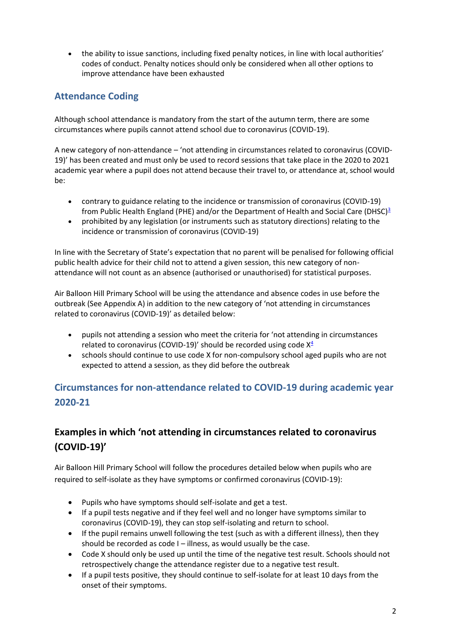the ability to issue sanctions, including fixed penalty notices, in line with local authorities' codes of conduct. Penalty notices should only be considered when all other options to improve attendance have been exhausted

# **Attendance Coding**

Although school attendance is mandatory from the start of the autumn term, there are some circumstances where pupils cannot attend school due to coronavirus (COVID-19).

A new category of non-attendance – 'not attending in circumstances related to coronavirus (COVID-19)' has been created and must only be used to record sessions that take place in the 2020 to 2021 academic year where a pupil does not attend because their travel to, or attendance at, school would be:

- contrary to guidance relating to the incidence or transmission of coronavirus (COVID-19) from Public Health England (PHE) and/or the Department of Health and Social Care (DHSC) $^3$  $^3$
- prohibited by any legislation (or instruments such as statutory directions) relating to the incidence or transmission of coronavirus (COVID-19)

In line with the Secretary of State's expectation that no parent will be penalised for following official public health advice for their child not to attend a given session, this new category of nonattendance will not count as an absence (authorised or unauthorised) for statistical purposes.

Air Balloon Hill Primary School will be using the attendance and absence codes in use before the outbreak (See Appendix A) in addition to the new category of 'not attending in circumstances related to coronavirus (COVID-19)' as detailed below:

- pupils not attending a session who meet the criteria for 'not attending in circumstances related to coronavirus (COVID-19)' should be recorded using code  $X^4$  $X^4$
- schools should continue to use code X for non-compulsory school aged pupils who are not expected to attend a session, as they did before the outbreak

# **Circumstances for non-attendance related to COVID-19 during academic year 2020-21**

# **Examples in which 'not attending in circumstances related to coronavirus (COVID-19)'**

Air Balloon Hill Primary School will follow the procedures detailed below when pupils who are required to self-isolate as they have symptoms or confirmed coronavirus (COVID-19):

- Pupils who have symptoms should self-isolate and get a test.
- If a pupil tests negative and if they feel well and no longer have symptoms similar to coronavirus (COVID-19), they can stop self-isolating and return to school.
- If the pupil remains unwell following the test (such as with a different illness), then they should be recorded as code I – illness, as would usually be the case.
- Code X should only be used up until the time of the negative test result. Schools should not retrospectively change the attendance register due to a negative test result.
- If a pupil tests positive, they should continue to self-isolate for at least 10 days from the onset of their symptoms.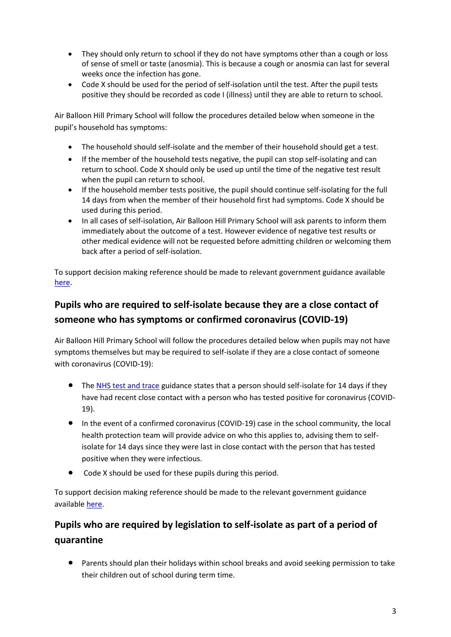- They should only return to school if they do not have symptoms other than a cough or loss of sense of smell or taste (anosmia). This is because a cough or anosmia can last for several weeks once the infection has gone.
- Code X should be used for the period of self-isolation until the test. After the pupil tests positive they should be recorded as code I (illness) until they are able to return to school.

Air Balloon Hill Primary School will follow the procedures detailed below when someone in the pupil's household has symptoms:

- The household should self-isolate and the member of their household should get a test.
- If the member of the household tests negative, the pupil can stop self-isolating and can return to school. Code X should only be used up until the time of the negative test result when the pupil can return to school.
- If the household member tests positive, the pupil should continue self-isolating for the full 14 days from when the member of their household first had symptoms. Code X should be used during this period.
- In all cases of self-isolation, Air Balloon Hill Primary School will ask parents to inform them immediately about the outcome of a test. However evidence of negative test results or other medical evidence will not be requested before admitting children or welcoming them back after a period of self-isolation.

To support decision making reference should be made to relevant government guidance available [here.](https://www.gov.uk/government/publications/covid-19-stay-at-home-guidance/stay-at-home-guidance-for-households-with-possible-coronavirus-covid-19-infection)

# **Pupils who are required to self-isolate because they are a close contact of someone who has symptoms or confirmed coronavirus (COVID-19)**

Air Balloon Hill Primary School will follow the procedures detailed below when pupils may not have symptoms themselves but may be required to self-isolate if they are a close contact of someone with coronavirus (COVID-19):

- The [NHS test and trace](https://www.gov.uk/guidance/nhs-test-and-trace-how-it-works#people-who-have-had-close-contact-with-someone-who-has-coronavirus) guidance states that a person should self-isolate for 14 days if they have had recent close contact with a person who has tested positive for coronavirus (COVID-19).
- In the event of a confirmed coronavirus (COVID-19) case in the school community, the local health protection team will provide advice on who this applies to, advising them to selfisolate for 14 days since they were last in close contact with the person that has tested positive when they were infectious.
- Code X should be used for these pupils during this period.

To support decision making reference should be made to the relevant government guidance available [here.](https://www.gov.uk/government/publications/covid-19-stay-at-home-guidance/stay-at-home-guidance-for-households-with-possible-coronavirus-covid-19-infection)

# **Pupils who are required by legislation to self-isolate as part of a period of quarantine**

 Parents should plan their holidays within school breaks and avoid seeking permission to take their children out of school during term time.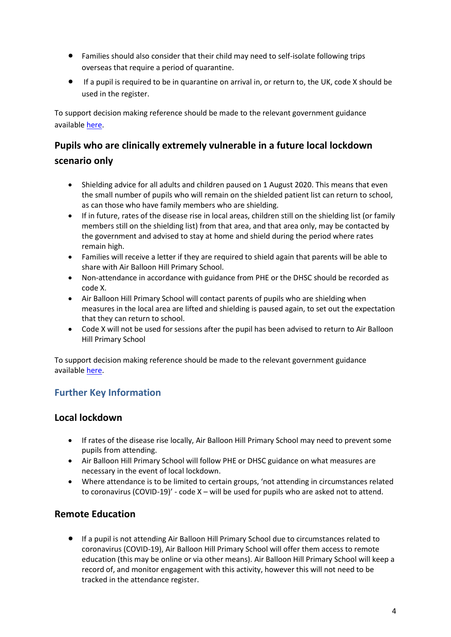- Families should also consider that their child may need to self-isolate following trips overseas that require a period of quarantine.
- If a pupil is required to be in quarantine on arrival in, or return to, the UK, code X should be used in the register.

To support decision making reference should be made to the relevant government guidance available [here.](https://www.gov.uk/government/publications/coronavirus-covid-19-how-to-self-isolate-when-you-travel-to-the-uk/coronavirus-covid-19-how-to-self-isolate-when-you-travel-to-the-uk)

# **Pupils who are clinically extremely vulnerable in a future local lockdown scenario only**

- Shielding advice for all adults and children paused on 1 August 2020. This means that even the small number of pupils who will remain on the shielded patient list can return to school, as can those who have family members who are shielding.
- If in future, rates of the disease rise in local areas, children still on the shielding list (or family members still on the shielding list) from that area, and that area only, may be contacted by the government and advised to stay at home and shield during the period where rates remain high.
- Families will receive a letter if they are required to shield again that parents will be able to share with Air Balloon Hill Primary School.
- Non-attendance in accordance with guidance from PHE or the DHSC should be recorded as code X.
- Air Balloon Hill Primary School will contact parents of pupils who are shielding when measures in the local area are lifted and shielding is paused again, to set out the expectation that they can return to school.
- Code X will not be used for sessions after the pupil has been advised to return to Air Balloon Hill Primary School

To support decision making reference should be made to the relevant government guidance available [here.](https://www.gov.uk/government/publications/guidance-on-shielding-and-protecting-extremely-vulnerable-persons-from-covid-19/guidance-on-shielding-and-protecting-extremely-vulnerable-persons-from-covid-19)

# **Further Key Information**

## **Local lockdown**

- If rates of the disease rise locally, Air Balloon Hill Primary School may need to prevent some pupils from attending.
- Air Balloon Hill Primary School will follow PHE or DHSC guidance on what measures are necessary in the event of local lockdown.
- Where attendance is to be limited to certain groups, 'not attending in circumstances related to coronavirus (COVID-19)' - code X – will be used for pupils who are asked not to attend.

## **Remote Education**

 If a pupil is not attending Air Balloon Hill Primary School due to circumstances related to coronavirus (COVID-19), Air Balloon Hill Primary School will offer them access to remote education (this may be online or via other means). Air Balloon Hill Primary School will keep a record of, and monitor engagement with this activity, however this will not need to be tracked in the attendance register.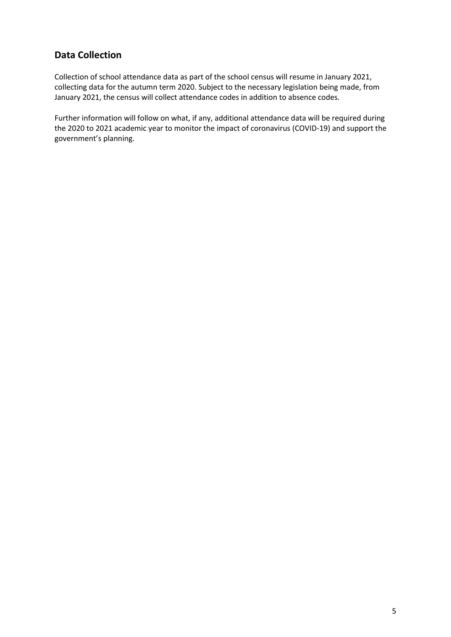## **Data Collection**

Collection of school attendance data as part of the school census will resume in January 2021, collecting data for the autumn term 2020. Subject to the necessary legislation being made, from January 2021, the census will collect attendance codes in addition to absence codes.

Further information will follow on what, if any, additional attendance data will be required during the 2020 to 2021 academic year to monitor the impact of coronavirus (COVID-19) and support the government's planning.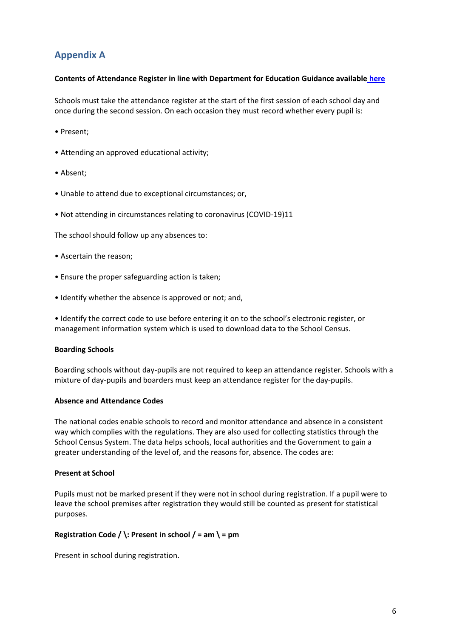# **Appendix A**

#### **Contents of Attendance Register in line with Department for Education Guidance available [here](https://assets.publishing.service.gov.uk/government/uploads/system/uploads/attachment_data/file/907535/School_attendance_guidance_for_2020_to_2021_academic_year.pdf)**

Schools must take the attendance register at the start of the first session of each school day and once during the second session. On each occasion they must record whether every pupil is:

- Present;
- Attending an approved educational activity;
- Absent;
- Unable to attend due to exceptional circumstances; or,
- Not attending in circumstances relating to coronavirus (COVID-19)11

The school should follow up any absences to:

- Ascertain the reason;
- Ensure the proper safeguarding action is taken;
- Identify whether the absence is approved or not; and,

• Identify the correct code to use before entering it on to the school's electronic register, or management information system which is used to download data to the School Census.

#### **Boarding Schools**

Boarding schools without day-pupils are not required to keep an attendance register. Schools with a mixture of day-pupils and boarders must keep an attendance register for the day-pupils.

#### **Absence and Attendance Codes**

The national codes enable schools to record and monitor attendance and absence in a consistent way which complies with the regulations. They are also used for collecting statistics through the School Census System. The data helps schools, local authorities and the Government to gain a greater understanding of the level of, and the reasons for, absence. The codes are:

### **Present at School**

Pupils must not be marked present if they were not in school during registration. If a pupil were to leave the school premises after registration they would still be counted as present for statistical purposes.

### **Registration Code / \: Present in school / = am \ = pm**

Present in school during registration.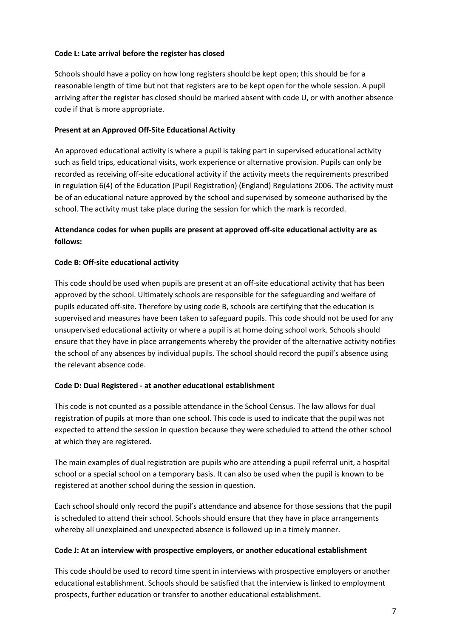#### **Code L: Late arrival before the register has closed**

Schools should have a policy on how long registers should be kept open; this should be for a reasonable length of time but not that registers are to be kept open for the whole session. A pupil arriving after the register has closed should be marked absent with code U, or with another absence code if that is more appropriate.

### **Present at an Approved Off-Site Educational Activity**

An approved educational activity is where a pupil is taking part in supervised educational activity such as field trips, educational visits, work experience or alternative provision. Pupils can only be recorded as receiving off-site educational activity if the activity meets the requirements prescribed in regulation 6(4) of the Education (Pupil Registration) (England) Regulations 2006. The activity must be of an educational nature approved by the school and supervised by someone authorised by the school. The activity must take place during the session for which the mark is recorded.

## **Attendance codes for when pupils are present at approved off-site educational activity are as follows:**

#### **Code B: Off-site educational activity**

This code should be used when pupils are present at an off-site educational activity that has been approved by the school. Ultimately schools are responsible for the safeguarding and welfare of pupils educated off-site. Therefore by using code B, schools are certifying that the education is supervised and measures have been taken to safeguard pupils. This code should not be used for any unsupervised educational activity or where a pupil is at home doing school work. Schools should ensure that they have in place arrangements whereby the provider of the alternative activity notifies the school of any absences by individual pupils. The school should record the pupil's absence using the relevant absence code.

#### **Code D: Dual Registered - at another educational establishment**

This code is not counted as a possible attendance in the School Census. The law allows for dual registration of pupils at more than one school. This code is used to indicate that the pupil was not expected to attend the session in question because they were scheduled to attend the other school at which they are registered.

The main examples of dual registration are pupils who are attending a pupil referral unit, a hospital school or a special school on a temporary basis. It can also be used when the pupil is known to be registered at another school during the session in question.

Each school should only record the pupil's attendance and absence for those sessions that the pupil is scheduled to attend their school. Schools should ensure that they have in place arrangements whereby all unexplained and unexpected absence is followed up in a timely manner.

#### **Code J: At an interview with prospective employers, or another educational establishment**

This code should be used to record time spent in interviews with prospective employers or another educational establishment. Schools should be satisfied that the interview is linked to employment prospects, further education or transfer to another educational establishment.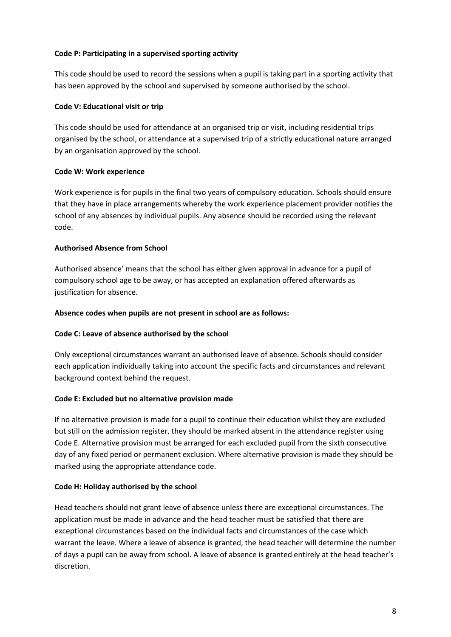#### **Code P: Participating in a supervised sporting activity**

This code should be used to record the sessions when a pupil is taking part in a sporting activity that has been approved by the school and supervised by someone authorised by the school.

#### **Code V: Educational visit or trip**

This code should be used for attendance at an organised trip or visit, including residential trips organised by the school, or attendance at a supervised trip of a strictly educational nature arranged by an organisation approved by the school.

### **Code W: Work experience**

Work experience is for pupils in the final two years of compulsory education. Schools should ensure that they have in place arrangements whereby the work experience placement provider notifies the school of any absences by individual pupils. Any absence should be recorded using the relevant code.

#### **Authorised Absence from School**

Authorised absence' means that the school has either given approval in advance for a pupil of compulsory school age to be away, or has accepted an explanation offered afterwards as justification for absence.

#### **Absence codes when pupils are not present in school are as follows:**

### **Code C: Leave of absence authorised by the school**

Only exceptional circumstances warrant an authorised leave of absence. Schools should consider each application individually taking into account the specific facts and circumstances and relevant background context behind the request.

#### **Code E: Excluded but no alternative provision made**

If no alternative provision is made for a pupil to continue their education whilst they are excluded but still on the admission register, they should be marked absent in the attendance register using Code E. Alternative provision must be arranged for each excluded pupil from the sixth consecutive day of any fixed period or permanent exclusion. Where alternative provision is made they should be marked using the appropriate attendance code.

#### **Code H: Holiday authorised by the school**

Head teachers should not grant leave of absence unless there are exceptional circumstances. The application must be made in advance and the head teacher must be satisfied that there are exceptional circumstances based on the individual facts and circumstances of the case which warrant the leave. Where a leave of absence is granted, the head teacher will determine the number of days a pupil can be away from school. A leave of absence is granted entirely at the head teacher's discretion.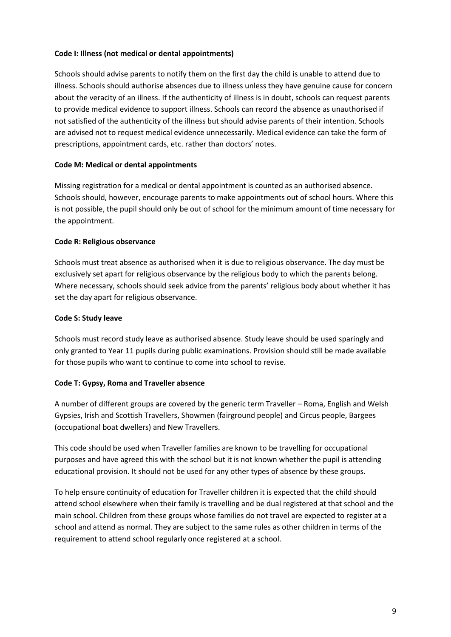#### **Code I: Illness (not medical or dental appointments)**

Schools should advise parents to notify them on the first day the child is unable to attend due to illness. Schools should authorise absences due to illness unless they have genuine cause for concern about the veracity of an illness. If the authenticity of illness is in doubt, schools can request parents to provide medical evidence to support illness. Schools can record the absence as unauthorised if not satisfied of the authenticity of the illness but should advise parents of their intention. Schools are advised not to request medical evidence unnecessarily. Medical evidence can take the form of prescriptions, appointment cards, etc. rather than doctors' notes.

#### **Code M: Medical or dental appointments**

Missing registration for a medical or dental appointment is counted as an authorised absence. Schools should, however, encourage parents to make appointments out of school hours. Where this is not possible, the pupil should only be out of school for the minimum amount of time necessary for the appointment.

#### **Code R: Religious observance**

Schools must treat absence as authorised when it is due to religious observance. The day must be exclusively set apart for religious observance by the religious body to which the parents belong. Where necessary, schools should seek advice from the parents' religious body about whether it has set the day apart for religious observance.

#### **Code S: Study leave**

Schools must record study leave as authorised absence. Study leave should be used sparingly and only granted to Year 11 pupils during public examinations. Provision should still be made available for those pupils who want to continue to come into school to revise.

### **Code T: Gypsy, Roma and Traveller absence**

A number of different groups are covered by the generic term Traveller – Roma, English and Welsh Gypsies, Irish and Scottish Travellers, Showmen (fairground people) and Circus people, Bargees (occupational boat dwellers) and New Travellers.

This code should be used when Traveller families are known to be travelling for occupational purposes and have agreed this with the school but it is not known whether the pupil is attending educational provision. It should not be used for any other types of absence by these groups.

To help ensure continuity of education for Traveller children it is expected that the child should attend school elsewhere when their family is travelling and be dual registered at that school and the main school. Children from these groups whose families do not travel are expected to register at a school and attend as normal. They are subject to the same rules as other children in terms of the requirement to attend school regularly once registered at a school.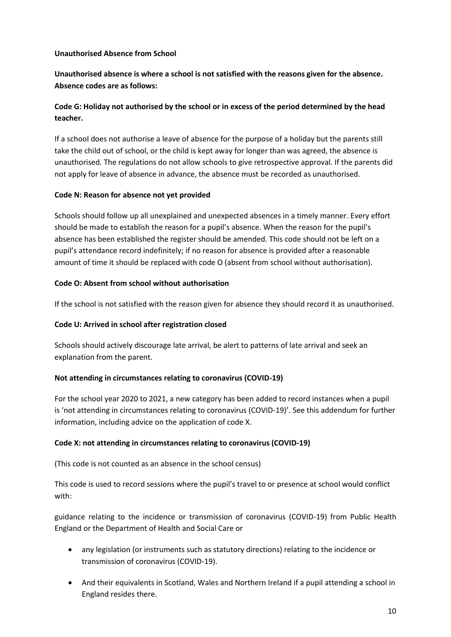### **Unauthorised Absence from School**

**Unauthorised absence is where a school is not satisfied with the reasons given for the absence. Absence codes are as follows:**

## **Code G: Holiday not authorised by the school or in excess of the period determined by the head teacher.**

If a school does not authorise a leave of absence for the purpose of a holiday but the parents still take the child out of school, or the child is kept away for longer than was agreed, the absence is unauthorised. The regulations do not allow schools to give retrospective approval. If the parents did not apply for leave of absence in advance, the absence must be recorded as unauthorised.

#### **Code N: Reason for absence not yet provided**

Schools should follow up all unexplained and unexpected absences in a timely manner. Every effort should be made to establish the reason for a pupil's absence. When the reason for the pupil's absence has been established the register should be amended. This code should not be left on a pupil's attendance record indefinitely; if no reason for absence is provided after a reasonable amount of time it should be replaced with code O (absent from school without authorisation).

#### **Code O: Absent from school without authorisation**

If the school is not satisfied with the reason given for absence they should record it as unauthorised.

### **Code U: Arrived in school after registration closed**

Schools should actively discourage late arrival, be alert to patterns of late arrival and seek an explanation from the parent.

#### **Not attending in circumstances relating to coronavirus (COVID-19)**

For the school year 2020 to 2021, a new category has been added to record instances when a pupil is 'not attending in circumstances relating to coronavirus (COVID-19)'. See this addendum for further information, including advice on the application of code X.

### **Code X: not attending in circumstances relating to coronavirus (COVID-19)**

(This code is not counted as an absence in the school census)

This code is used to record sessions where the pupil's travel to or presence at school would conflict with:

guidance relating to the incidence or transmission of coronavirus (COVID-19) from Public Health England or the Department of Health and Social Care or

- any legislation (or instruments such as statutory directions) relating to the incidence or transmission of coronavirus (COVID-19).
- And their equivalents in Scotland, Wales and Northern Ireland if a pupil attending a school in England resides there.